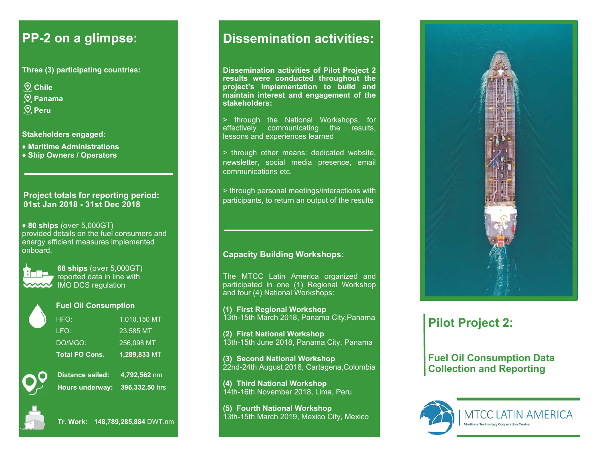### **PP-2 on a glimpse:**

**Three (3) participating countries:** 

- **Chile**
- **Panama**
- **Peru**

**Stakeholders engaged:** 

**♦ Maritime Administrations ♦ Ship Owners / Operators** 

#### **Project totals for reporting period: 01st Jan 2018 - 31st Dec 2018**

**♦ 80 ships** (over 5,000GT) provided details on the fuel consumers and energy efficient measures implemented onboard.



**68 ships** (over 5,000GT) reported data in line with **ANAW** IMO DCS regulation



#### **Fuel Oil Consumption**

| <b>Total FO Cons.</b> | 1,289,833 MT   |
|-----------------------|----------------|
| DO/MGO:               | 256,098 MT     |
| LFO:                  | 23.585 MT      |
| HFO:                  | $1,010,150$ MT |
|                       |                |



**Distance sailed: 4,792,562** nm **Hours underway: 396,332.50** hrs



**Tr. Work: 148,789,285,884** DWT.nm

## **Dissemination activities:**

**Dissemination activities of Pilot Project 2 Colombia Mexico project's implementation to build and maintain interest and engagement of the Ecuador Panama stakeholders: results were conducted throughout the** 

lessons and experiences learned > through the National Workshops, for effectively communicating the results,

> through other means: dedicated website, newsletter, social media presence, email communications etc.

> through personal meetings/interactions with ی<br>A return on outr participants, to return an output of the results

### **Capacity Building Workshops:**

The MTCC Latin America organized and participated in one (1) Regional Workshop and four (4) National Workshops:

**(1) First Regional Workshop**  13th-15th March 2018, Panama City,Panama

**(2) First National Workshop**  13th-15th June 2018, Panama City, Panama

**(3) Second National Workshop**  22nd-24th August 2018, Cartagena,Colombia

**(4) Third National Workshop**  14th-16th November 2018, Lima, Peru

**(5) Fourth National Workshop**  13th-15th March 2019, Mexico City, Mexico



## **Pilot Project 2:**

**Fuel Oil Consumption Data Collection and Reporting**